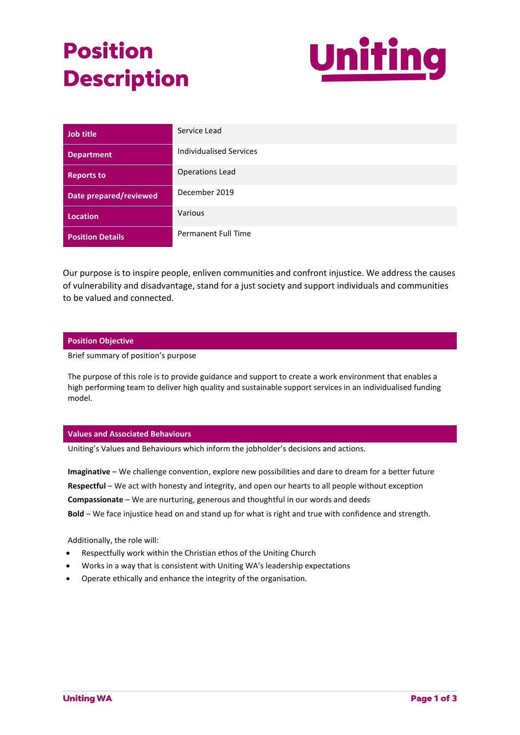# **Position Description**



| Job title               | Service Lead                   |
|-------------------------|--------------------------------|
| <b>Department</b>       | <b>Individualised Services</b> |
| <b>Reports to</b>       | <b>Operations Lead</b>         |
| Date prepared/reviewed  | December 2019                  |
| <b>Location</b>         | Various                        |
| <b>Position Details</b> | <b>Permanent Full Time</b>     |

Our purpose is to inspire people, enliven communities and confront injustice. We address the causes of vulnerability and disadvantage, stand for a just society and support individuals and communities to be valued and connected.

## **Position Objective**

Brief summary of position's purpose

The purpose of this role is to provide guidance and support to create a work environment that enables a high performing team to deliver high quality and sustainable support services in an individualised funding model.

## **Values and Associated Behaviours**

Uniting's Values and Behaviours which inform the jobholder's decisions and actions.

**Imaginative** – We challenge convention, explore new possibilities and dare to dream for a better future **Respectful** – We act with honesty and integrity, and open our hearts to all people without exception **Compassionate** – We are nurturing, generous and thoughtful in our words and deeds **Bold** – We face injustice head on and stand up for what is right and true with confidence and strength.

Additionally, the role will:

- Respectfully work within the Christian ethos of the Uniting Church
- Works in a way that is consistent with Uniting WA's leadership expectations
- Operate ethically and enhance the integrity of the organisation.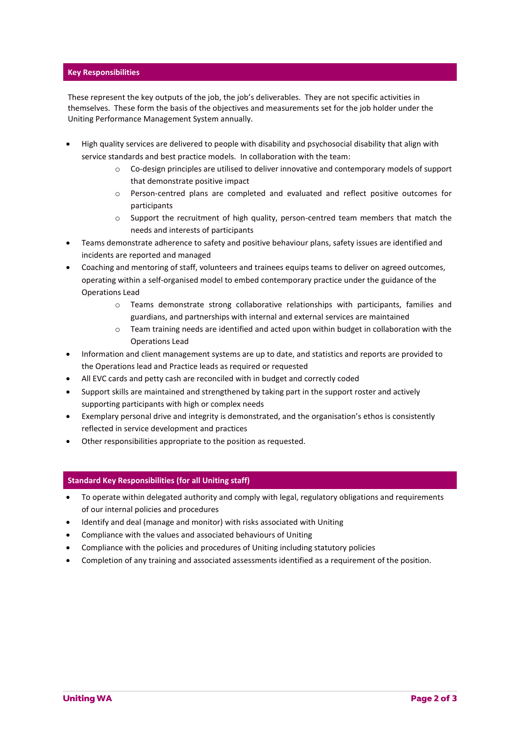# **Key Responsibilities**

These represent the key outputs of the job, the job's deliverables. They are not specific activities in themselves. These form the basis of the objectives and measurements set for the job holder under the Uniting Performance Management System annually.

- High quality services are delivered to people with disability and psychosocial disability that align with service standards and best practice models. In collaboration with the team:
	- $\circ$  Co-design principles are utilised to deliver innovative and contemporary models of support that demonstrate positive impact
	- o Person-centred plans are completed and evaluated and reflect positive outcomes for participants
	- $\circ$  Support the recruitment of high quality, person-centred team members that match the needs and interests of participants
- Teams demonstrate adherence to safety and positive behaviour plans, safety issues are identified and incidents are reported and managed
- Coaching and mentoring of staff, volunteers and trainees equips teams to deliver on agreed outcomes, operating within a self-organised model to embed contemporary practice under the guidance of the Operations Lead
	- o Teams demonstrate strong collaborative relationships with participants, families and guardians, and partnerships with internal and external services are maintained
	- $\circ$  Team training needs are identified and acted upon within budget in collaboration with the Operations Lead
- Information and client management systems are up to date, and statistics and reports are provided to the Operations lead and Practice leads as required or requested
- All EVC cards and petty cash are reconciled with in budget and correctly coded
- Support skills are maintained and strengthened by taking part in the support roster and actively supporting participants with high or complex needs
- Exemplary personal drive and integrity is demonstrated, and the organisation's ethos is consistently reflected in service development and practices
- Other responsibilities appropriate to the position as requested.

# **Standard Key Responsibilities (for all Uniting staff)**

- To operate within delegated authority and comply with legal, regulatory obligations and requirements of our internal policies and procedures
- Identify and deal (manage and monitor) with risks associated with Uniting
- Compliance with the values and associated behaviours of Uniting
- Compliance with the policies and procedures of Uniting including statutory policies
- Completion of any training and associated assessments identified as a requirement of the position.